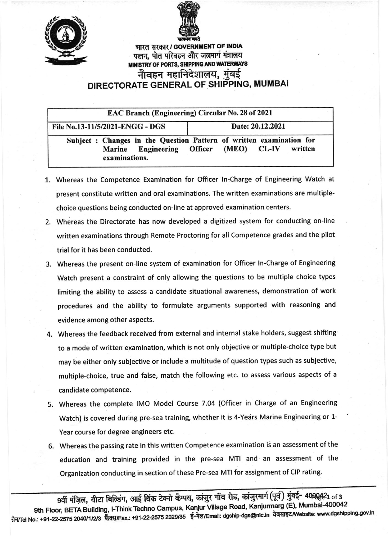



पत्तन, पोत परिवहन और जलमार्ग मंत्रालय MINISTRY OF PORTS, SHIPPING AND WATERWAYS नौवहन महानिदेशालय, मुंबई DIRECTORATE GENERAL OF SHIPPING, MUMBAI

| <b>EAC Branch (Engineering) Circular No. 28 of 2021</b>      |                                                                                                |
|--------------------------------------------------------------|------------------------------------------------------------------------------------------------|
| File No.13-11/5/2021-ENGG - DGS                              | Date: 20.12.2021                                                                               |
| <b>Engineering</b> Officer<br><b>Marine</b><br>examinations. | Subject : Changes in the Question Pattern of written examination for<br>(MEO) CL-IV<br>written |

- 1. Whereas the Competence Examination for Officer ln-Charge of Engineering Watch at present constitute written and oral examinations. The written examinations are multiplechoice questions being conducted on-line at approved examination centers.
- 2. Whereas the Directorate has now developed a digitized system for conducting on-line written examinations through Remote Proctoring for all Competence grades and the pilot trial for it has been conducted.
- 3. Whereas the present on-line system of examination for Officer ln-Charge of Engineering Watch present a constraint of only allowing the questions to be multiple choice types limiting the ability to assess a candidate situational awareness, demonstration of work procedures and the ability to formulate arguments supported with reasoning and evidence among other aspects.
- 4. Whereas the feedback received from external and internal stake holders, suggest shifting to a mode of written examination, which is not only objeqtive or multiple-choice type but may be either only subjective or include a multitude of question types such as subjective, multiple-choice, true and false, match the following etc. to assess various aspects of <sup>a</sup> candidate competence.
- 5. Whereas the complete lMo Model course 7.04 (officer in charge of an Engineerin8 Watch) is covered during pre-sea training, whether it is 4-Years Marine Engineering or 1-Year course for degree engineers etc.
- 6. Whereas the passing rate in this written Competence examination is an assessment of the education and training provided in the pre-sea MTI and an assessment of the Organization conducting in section of these Pre-sea MTI for assignment of CIP rating.

9वीं मंज़िल, बीटा बिल्डिंग, आई थिंक टेक्नो कैम्पस, कांजुर गाँव रोड, कांजुरमार्ग (पूर्व) मुंबई- 4000421 of 3 9th Floor, BETA Building, I-Think Techno Campus, Kanjur Village Road, Kanjurmarg (E), Mumbal-400042 ग्रेन/Tel No.: +91-22-2575 2040/1/2/3 फेक्स/Fax.: +91-22-2575 2029/35 ई-मेल/Email: dgship-dgs@nic.in वेबसाइट Website: www.dgshipping.gov.in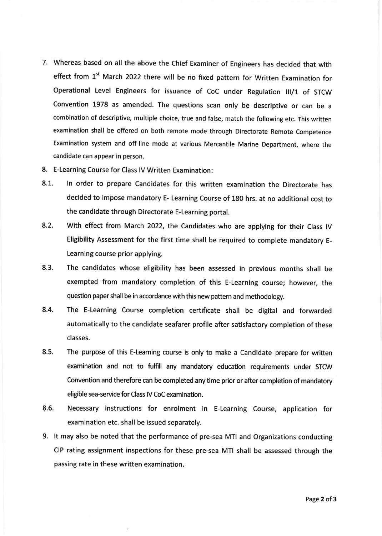- 7. whereas based on all the above the chief Examiner of Engineers has decided that with effect from  $1<sup>st</sup>$  March 2022 there will be no fixed pattern for Written Examination for operational Level Engineers for issuance of Coc under Regulation lll/1 of srcw convention 1978 as amended. The questions scan only be descriptive or can be <sup>a</sup> combination of descriptive, multiple choice, true and false, match the following etc. This written examination shall be offered on both remote mode through Directorate Remote Competence Examination system and off-line mode at various Mercantile Marine Department, where the candidate can appear in person.
- 8. E-Learning Course for Class lV Written Examination:
- 8.1. ln order to prepare Candidates for this written examination the Directorate has decided to impose mandatory E- Learning course of 180 hrs. at no additional cost to the candidate through Directorate E-Learning portal.
- 8.2. With effect from March 2022, the Candidates who are applying for their Class IV Eligibility Assessment for the first time shall be required to complete mandatory E-Learning course prior applying.
- 8.3. The candidates whose eligibility has been assessed in previous months shall be exempted from mandatory completion of this E-Learning course; however, the question paper shall be in accordance with this new pattern and methodology.
- 8.4. The E-Learning Course completion certificate shall be digital and forwarded automatically to the candidate seafarer profile after satisfactory completion of these classes.
- 8.5. The purpose of this E-Leaming course is only to make a Candidate prepare for written examination and not to fulfill any mandatory education requirements under STCW Convention and therefore can be completed any time prior or after completion of mandatory eligible sea-service for Class lV CoC examination.
- 8.6. Necessary instructions for enrolment in E-Learning Course, application for examination etc. shall be issued separately.
- 9. lt may also be noted that the performance of pre-sea MTI and Organizations conducting CIP rating assignment inspections for these pre-sea MTI shall be assessed through the passing rate in these written examination.